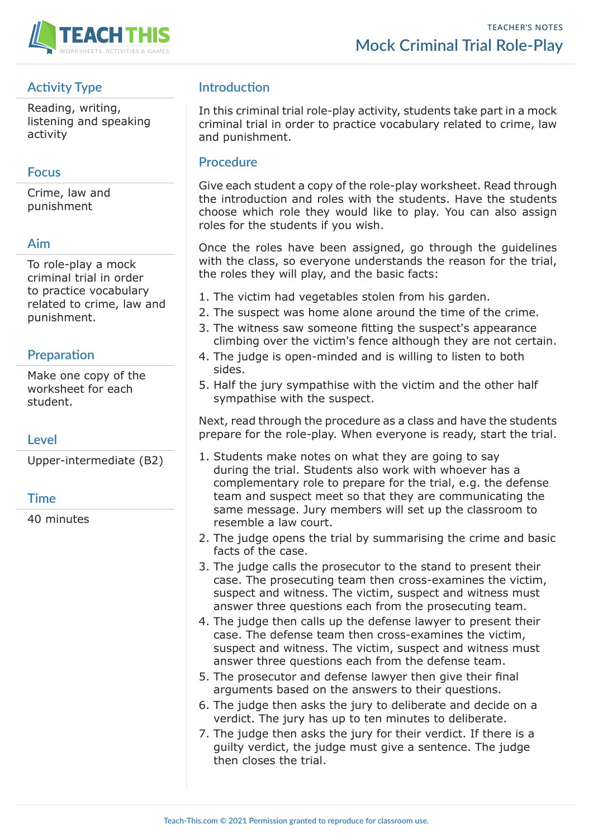

# **Activity Type**

Reading, writing, listening and speaking activity

## **Focus**

Crime, law and punishment

## **Aim**

To role-play a mock criminal trial in order to practice vocabulary related to crime, law and punishment.

## **Preparation**

Make one copy of the worksheet for each student.

## **Level**

Upper-intermediate (B2)

## **Time**

40 minutes

# **Introduction**

In this criminal trial role-play activity, students take part in a mock criminal trial in order to practice vocabulary related to crime, law and punishment.

## **Procedure**

Give each student a copy of the role-play worksheet. Read through the introduction and roles with the students. Have the students choose which role they would like to play. You can also assign roles for the students if you wish.

Once the roles have been assigned, go through the guidelines with the class, so everyone understands the reason for the trial, the roles they will play, and the basic facts:

- 1. The victim had vegetables stolen from his garden.
- 2. The suspect was home alone around the time of the crime.
- 3. The witness saw someone fitting the suspect's appearance climbing over the victim's fence although they are not certain.
- 4. The judge is open-minded and is willing to listen to both sides.
- 5. Half the jury sympathise with the victim and the other half sympathise with the suspect.

Next, read through the procedure as a class and have the students prepare for the role-play. When everyone is ready, start the trial.

- 1. Students make notes on what they are going to say during the trial. Students also work with whoever has a complementary role to prepare for the trial, e.g. the defense team and suspect meet so that they are communicating the same message. Jury members will set up the classroom to resemble a law court.
- 2. The judge opens the trial by summarising the crime and basic facts of the case.
- 3. The judge calls the prosecutor to the stand to present their case. The prosecuting team then cross-examines the victim, suspect and witness. The victim, suspect and witness must answer three questions each from the prosecuting team.
- 4. The judge then calls up the defense lawyer to present their case. The defense team then cross-examines the victim, suspect and witness. The victim, suspect and witness must answer three questions each from the defense team.
- 5. The prosecutor and defense lawyer then give their final arguments based on the answers to their questions.
- 6. The judge then asks the jury to deliberate and decide on a verdict. The jury has up to ten minutes to deliberate.
- 7. The judge then asks the jury for their verdict. If there is a guilty verdict, the judge must give a sentence. The judge then closes the trial.